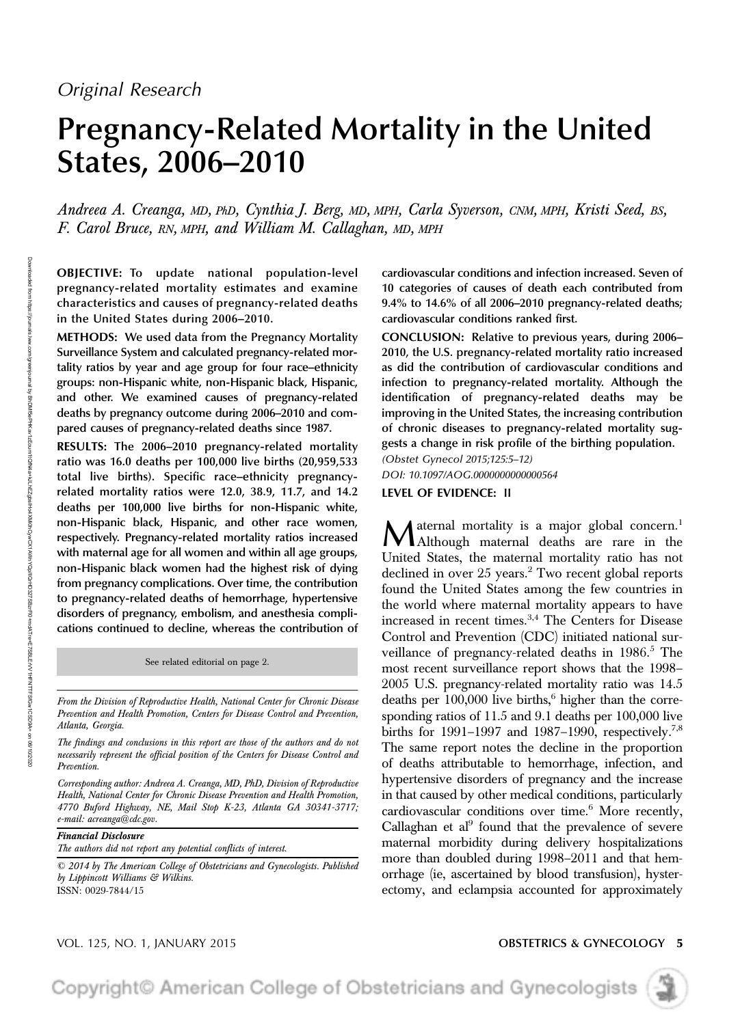# Pregnancy-Related Mortality in the United States, 2006–2010

Andreea A. Creanga, MD, PhD, Cynthia J. Berg, MD, MPH, Carla Syverson, CNM, MPH, Kristi Seed, BS, F. Carol Bruce, RN, MPH, and William M. Callaghan, MD, MPH

OBJECTIVE: To update national population-level pregnancy-related mortality estimates and examine characteristics and causes of pregnancy-related deaths in the United States during 2006–2010.

METHODS: We used data from the Pregnancy Mortality Surveillance System and calculated pregnancy-related mortality ratios by year and age group for four race–ethnicity groups: non-Hispanic white, non-Hispanic black, Hispanic, and other. We examined causes of pregnancy-related deaths by pregnancy outcome during 2006–2010 and compared causes of pregnancy-related deaths since 1987.

RESULTS: The 2006–2010 pregnancy-related mortality ratio was 16.0 deaths per 100,000 live births (20,959,533 total live births). Specific race–ethnicity pregnancyrelated mortality ratios were 12.0, 38.9, 11.7, and 14.2 deaths per 100,000 live births for non-Hispanic white, non-Hispanic black, Hispanic, and other race women, respectively. Pregnancy-related mortality ratios increased with maternal age for all women and within all age groups, non-Hispanic black women had the highest risk of dying from pregnancy complications. Over time, the contribution to pregnancy-related deaths of hemorrhage, hypertensive disorders of pregnancy, embolism, and anesthesia complications continued to decline, whereas the contribution of

See related editorial on page 2.

From the Division of Reproductive Health, National Center for Chronic Disease Prevention and Health Promotion, Centers for Disease Control and Prevention, Atlanta, Georgia.

The findings and conclusions in this report are those of the authors and do not necessarily represent the official position of the Centers for Disease Control and Prevention.

Corresponding author: Andreea A. Creanga, MD, PhD, Division of Reproductive Health, National Center for Chronic Disease Prevention and Health Promotion, 4770 Buford Highway, NE, Mail Stop K-23, Atlanta GA 30341-3717; e-mail: acreanga@cdc.gov.

### Financial Disclosure

The authors did not report any potential conflicts of interest.

© 2014 by The American College of Obstetricians and Gynecologists. Published by Lippincott Williams & Wilkins. ISSN: 0029-7844/15

cardiovascular conditions and infection increased. Seven of 10 categories of causes of death each contributed from 9.4% to 14.6% of all 2006–2010 pregnancy-related deaths; cardiovascular conditions ranked first.

CONCLUSION: Relative to previous years, during 2006– 2010, the U.S. pregnancy-related mortality ratio increased as did the contribution of cardiovascular conditions and infection to pregnancy-related mortality. Although the identification of pregnancy-related deaths may be improving in the United States, the increasing contribution of chronic diseases to pregnancy-related mortality suggests a change in risk profile of the birthing population.

*(Obstet Gynecol 2015;125:5–12)*

*DOI: 10.1097/AOG.0000000000000564*

### LEVEL OF EVIDENCE: II

Maternal mortality is a major global concern.<sup>1</sup> Although maternal deaths are rare in the United States, the maternal mortality ratio has not declined in over 25 years.<sup>2</sup> Two recent global reports found the United States among the few countries in the world where maternal mortality appears to have increased in recent times.<sup>3,4</sup> The Centers for Disease Control and Prevention (CDC) initiated national surveillance of pregnancy-related deaths in  $1986$ <sup>5</sup>. The most recent surveillance report shows that the 1998– 2005 U.S. pregnancy-related mortality ratio was 14.5 deaths per  $100,000$  live births,<sup>6</sup> higher than the corresponding ratios of 11.5 and 9.1 deaths per 100,000 live births for 1991–1997 and 1987–1990, respectively.<sup>7,8</sup> The same report notes the decline in the proportion of deaths attributable to hemorrhage, infection, and hypertensive disorders of pregnancy and the increase in that caused by other medical conditions, particularly cardiovascular conditions over time.<sup>6</sup> More recently, Callaghan et al<sup>9</sup> found that the prevalence of severe maternal morbidity during delivery hospitalizations more than doubled during 1998–2011 and that hemorrhage (ie, ascertained by blood transfusion), hysterectomy, and eclampsia accounted for approximately

### VOL. 125, NO. 1, JANUARY 2015 **CONSTETRICS AND SETTRICS & GYNECOLOGY 5**

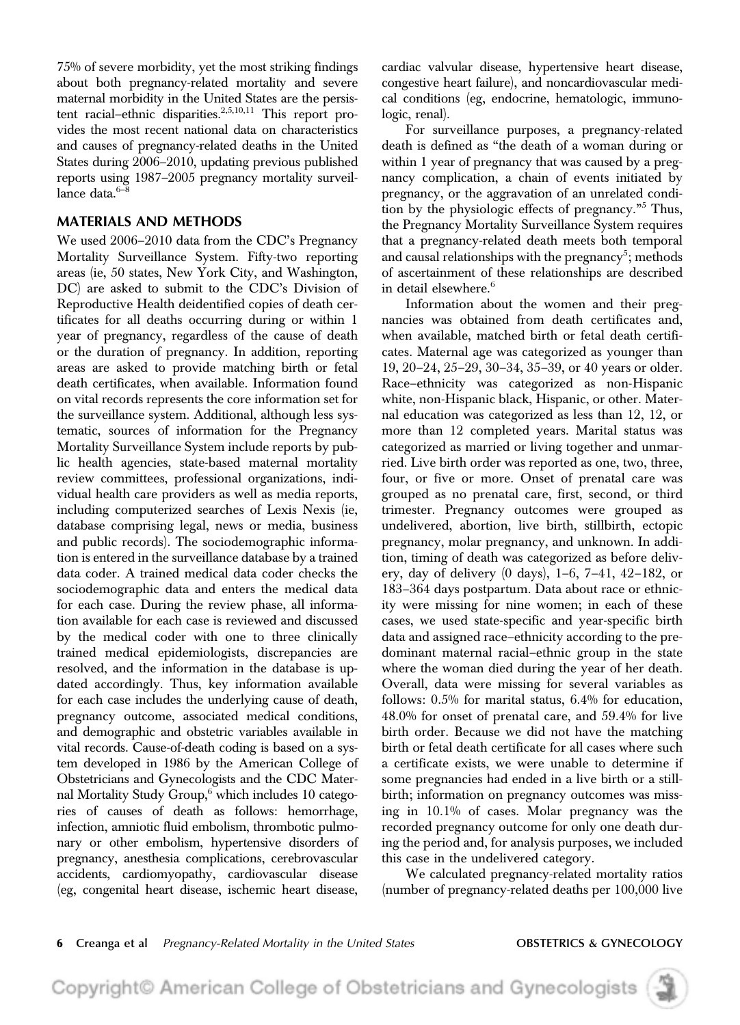75% of severe morbidity, yet the most striking findings about both pregnancy-related mortality and severe maternal morbidity in the United States are the persistent racial–ethnic disparities.<sup>2,5,10,11</sup> This report provides the most recent national data on characteristics and causes of pregnancy-related deaths in the United States during 2006–2010, updating previous published reports using 1987–2005 pregnancy mortality surveillance data.<sup>6-8</sup>

# MATERIALS AND METHODS

We used 2006–2010 data from the CDC's Pregnancy Mortality Surveillance System. Fifty-two reporting areas (ie, 50 states, New York City, and Washington, DC) are asked to submit to the CDC's Division of Reproductive Health deidentified copies of death certificates for all deaths occurring during or within 1 year of pregnancy, regardless of the cause of death or the duration of pregnancy. In addition, reporting areas are asked to provide matching birth or fetal death certificates, when available. Information found on vital records represents the core information set for the surveillance system. Additional, although less systematic, sources of information for the Pregnancy Mortality Surveillance System include reports by public health agencies, state-based maternal mortality review committees, professional organizations, individual health care providers as well as media reports, including computerized searches of Lexis Nexis (ie, database comprising legal, news or media, business and public records). The sociodemographic information is entered in the surveillance database by a trained data coder. A trained medical data coder checks the sociodemographic data and enters the medical data for each case. During the review phase, all information available for each case is reviewed and discussed by the medical coder with one to three clinically trained medical epidemiologists, discrepancies are resolved, and the information in the database is updated accordingly. Thus, key information available for each case includes the underlying cause of death, pregnancy outcome, associated medical conditions, and demographic and obstetric variables available in vital records. Cause-of-death coding is based on a system developed in 1986 by the American College of Obstetricians and Gynecologists and the CDC Maternal Mortality Study Group,<sup>6</sup> which includes 10 categories of causes of death as follows: hemorrhage, infection, amniotic fluid embolism, thrombotic pulmonary or other embolism, hypertensive disorders of pregnancy, anesthesia complications, cerebrovascular accidents, cardiomyopathy, cardiovascular disease (eg, congenital heart disease, ischemic heart disease,

cardiac valvular disease, hypertensive heart disease, congestive heart failure), and noncardiovascular medical conditions (eg, endocrine, hematologic, immunologic, renal).

For surveillance purposes, a pregnancy-related death is defined as "the death of a woman during or within 1 year of pregnancy that was caused by a pregnancy complication, a chain of events initiated by pregnancy, or the aggravation of an unrelated condition by the physiologic effects of pregnancy." <sup>5</sup> Thus, the Pregnancy Mortality Surveillance System requires that a pregnancy-related death meets both temporal and causal relationships with the pregnancy<sup>5</sup>; methods of ascertainment of these relationships are described in detail elsewhere.<sup>6</sup>

Information about the women and their pregnancies was obtained from death certificates and, when available, matched birth or fetal death certificates. Maternal age was categorized as younger than 19, 20–24, 25–29, 30–34, 35–39, or 40 years or older. Race–ethnicity was categorized as non-Hispanic white, non-Hispanic black, Hispanic, or other. Maternal education was categorized as less than 12, 12, or more than 12 completed years. Marital status was categorized as married or living together and unmarried. Live birth order was reported as one, two, three, four, or five or more. Onset of prenatal care was grouped as no prenatal care, first, second, or third trimester. Pregnancy outcomes were grouped as undelivered, abortion, live birth, stillbirth, ectopic pregnancy, molar pregnancy, and unknown. In addition, timing of death was categorized as before delivery, day of delivery (0 days), 1–6, 7–41, 42–182, or 183–364 days postpartum. Data about race or ethnicity were missing for nine women; in each of these cases, we used state-specific and year-specific birth data and assigned race–ethnicity according to the predominant maternal racial–ethnic group in the state where the woman died during the year of her death. Overall, data were missing for several variables as follows: 0.5% for marital status, 6.4% for education, 48.0% for onset of prenatal care, and 59.4% for live birth order. Because we did not have the matching birth or fetal death certificate for all cases where such a certificate exists, we were unable to determine if some pregnancies had ended in a live birth or a stillbirth; information on pregnancy outcomes was missing in 10.1% of cases. Molar pregnancy was the recorded pregnancy outcome for only one death during the period and, for analysis purposes, we included this case in the undelivered category.

We calculated pregnancy-related mortality ratios (number of pregnancy-related deaths per 100,000 live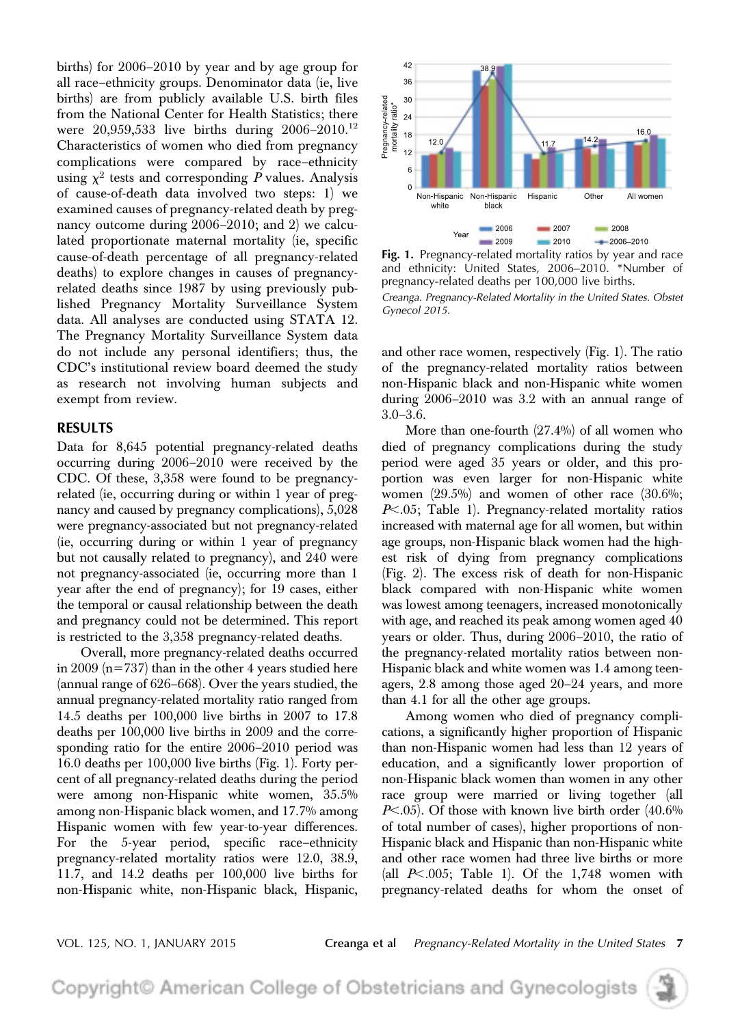births) for 2006–2010 by year and by age group for all race–ethnicity groups. Denominator data (ie, live births) are from publicly available U.S. birth files from the National Center for Health Statistics; there were  $20,959,533$  live births during  $2006-2010$ .<sup>12</sup> Characteristics of women who died from pregnancy complications were compared by race–ethnicity using  $\chi^2$  tests and corresponding  $P$  values. Analysis of cause-of-death data involved two steps: 1) we examined causes of pregnancy-related death by pregnancy outcome during 2006–2010; and 2) we calculated proportionate maternal mortality (ie, specific cause-of-death percentage of all pregnancy-related deaths) to explore changes in causes of pregnancyrelated deaths since 1987 by using previously published Pregnancy Mortality Surveillance System data. All analyses are conducted using STATA 12. The Pregnancy Mortality Surveillance System data do not include any personal identifiers; thus, the CDC's institutional review board deemed the study as research not involving human subjects and exempt from review.

# RESULTS

Data for 8,645 potential pregnancy-related deaths occurring during 2006–2010 were received by the CDC. Of these, 3,358 were found to be pregnancyrelated (ie, occurring during or within 1 year of pregnancy and caused by pregnancy complications), 5,028 were pregnancy-associated but not pregnancy-related (ie, occurring during or within 1 year of pregnancy but not causally related to pregnancy), and 240 were not pregnancy-associated (ie, occurring more than 1 year after the end of pregnancy); for 19 cases, either the temporal or causal relationship between the death and pregnancy could not be determined. This report is restricted to the 3,358 pregnancy-related deaths.

Overall, more pregnancy-related deaths occurred in 2009 ( $n=737$ ) than in the other 4 years studied here (annual range of 626–668). Over the years studied, the annual pregnancy-related mortality ratio ranged from 14.5 deaths per 100,000 live births in 2007 to 17.8 deaths per 100,000 live births in 2009 and the corresponding ratio for the entire 2006–2010 period was 16.0 deaths per 100,000 live births (Fig. 1). Forty percent of all pregnancy-related deaths during the period were among non-Hispanic white women, 35.5% among non-Hispanic black women, and 17.7% among Hispanic women with few year-to-year differences. For the 5-year period, specific race–ethnicity pregnancy-related mortality ratios were 12.0, 38.9, 11.7, and 14.2 deaths per 100,000 live births for non-Hispanic white, non-Hispanic black, Hispanic,



Fig. 1. Pregnancy-related mortality ratios by year and race and ethnicity: United States, 2006–2010. \*Number of pregnancy-related deaths per 100,000 live births.

```
Creanga. Pregnancy-Related Mortality in the United States. Obstet
Gynecol 2015.
```
and other race women, respectively (Fig. 1). The ratio of the pregnancy-related mortality ratios between non-Hispanic black and non-Hispanic white women during 2006–2010 was 3.2 with an annual range of 3.0–3.6.

More than one-fourth (27.4%) of all women who died of pregnancy complications during the study period were aged 35 years or older, and this proportion was even larger for non-Hispanic white women  $(29.5\%)$  and women of other race  $(30.6\%;$  $P<.05$ ; Table 1). Pregnancy-related mortality ratios increased with maternal age for all women, but within age groups, non-Hispanic black women had the highest risk of dying from pregnancy complications (Fig. 2). The excess risk of death for non-Hispanic black compared with non-Hispanic white women was lowest among teenagers, increased monotonically with age, and reached its peak among women aged 40 years or older. Thus, during 2006–2010, the ratio of the pregnancy-related mortality ratios between non-Hispanic black and white women was 1.4 among teenagers, 2.8 among those aged 20–24 years, and more than 4.1 for all the other age groups.

Among women who died of pregnancy complications, a significantly higher proportion of Hispanic than non-Hispanic women had less than 12 years of education, and a significantly lower proportion of non-Hispanic black women than women in any other race group were married or living together (all  $P<.05$ ). Of those with known live birth order (40.6%) of total number of cases), higher proportions of non-Hispanic black and Hispanic than non-Hispanic white and other race women had three live births or more (all  $P<.005$ ; Table 1). Of the 1,748 women with pregnancy-related deaths for whom the onset of

VOL. 125, NO. 1, JANUARY 2015 Creanga et al Pregnancy-Related Mortality in the United States 7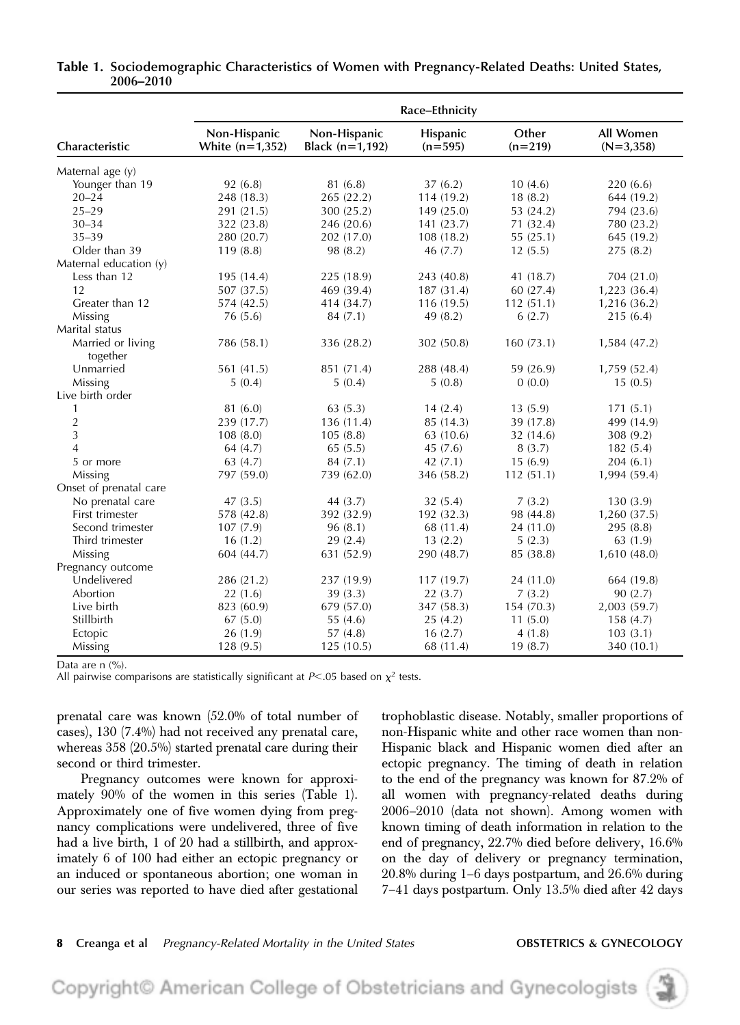|                               | Race-Ethnicity                    |                                 |                       |                    |                          |  |  |  |  |
|-------------------------------|-----------------------------------|---------------------------------|-----------------------|--------------------|--------------------------|--|--|--|--|
| Characteristic                | Non-Hispanic<br>White $(n=1,352)$ | Non-Hispanic<br>Black (n=1,192) | Hispanic<br>$(n=595)$ | Other<br>$(n=219)$ | All Women<br>$(N=3,358)$ |  |  |  |  |
| Maternal age (y)              |                                   |                                 |                       |                    |                          |  |  |  |  |
| Younger than 19               | 92(6.8)                           | 81 (6.8)                        | 37(6.2)               | 10(4.6)            | 220(6.6)                 |  |  |  |  |
| $20 - 24$                     | 248 (18.3)                        | 265 (22.2)                      | 114 (19.2)            | 18(8.2)            | 644 (19.2)               |  |  |  |  |
| $25 - 29$                     | 291 (21.5)                        | 300 (25.2)                      | 149 (25.0)            | 53 (24.2)          | 794 (23.6)               |  |  |  |  |
| $30 - 34$                     | 322 (23.8)                        | 246 (20.6)                      | 141(23.7)             | 71 (32.4)          | 780 (23.2)               |  |  |  |  |
| $35 - 39$                     | 280 (20.7)                        | 202 (17.0)                      | 108 (18.2)            | 55(25.1)           | 645 (19.2)               |  |  |  |  |
| Older than 39                 | 119(8.8)                          | 98 (8.2)                        | 46 (7.7)              | 12(5.5)            | 275(8.2)                 |  |  |  |  |
| Maternal education (y)        |                                   |                                 |                       |                    |                          |  |  |  |  |
| Less than 12                  | 195 (14.4)                        | 225 (18.9)                      | 243 (40.8)            | 41 (18.7)          | 704 (21.0)               |  |  |  |  |
| 12                            | 507 (37.5)                        | 469 (39.4)                      | 187 (31.4)            | 60 (27.4)          | 1,223 (36.4)             |  |  |  |  |
| Greater than 12               | 574 (42.5)                        | 414 (34.7)                      | 116(19.5)             | 112(51.1)          | 1,216(36.2)              |  |  |  |  |
| Missing                       | 76(5.6)                           | 84(7.1)                         | 49(8.2)               | 6(2.7)             | 215(6.4)                 |  |  |  |  |
| Marital status                |                                   |                                 |                       |                    |                          |  |  |  |  |
| Married or living<br>together | 786 (58.1)                        | 336 (28.2)                      | 302 (50.8)            | 160(73.1)          | 1,584 (47.2)             |  |  |  |  |
| Unmarried                     | 561 (41.5)                        | 851 (71.4)                      | 288 (48.4)            | 59 (26.9)          | 1,759 (52.4)             |  |  |  |  |
| Missing                       | 5(0.4)                            | 5(0.4)                          | 5(0.8)                | 0(0.0)             | 15(0.5)                  |  |  |  |  |
| Live birth order              |                                   |                                 |                       |                    |                          |  |  |  |  |
| $\mathbf{1}$                  | 81 (6.0)                          | 63(5.3)                         | 14(2.4)               | 13(5.9)            | 171(5.1)                 |  |  |  |  |
| 2                             | 239 (17.7)                        | 136(11.4)                       | 85 (14.3)             | 39 (17.8)          | 499 (14.9)               |  |  |  |  |
| 3                             | 108(8.0)                          | 105(8.8)                        | 63 (10.6)             | 32 (14.6)          | 308 (9.2)                |  |  |  |  |
| 4                             | 64(4.7)                           | 65(5.5)                         | 45(7.6)               | 8(3.7)             | 182(5.4)                 |  |  |  |  |
| 5 or more                     | 63(4.7)                           | 84(7.1)                         | 42(7.1)               | 15(6.9)            | 204(6.1)                 |  |  |  |  |
| Missing                       | 797 (59.0)                        | 739 (62.0)                      | 346 (58.2)            | 112(51.1)          | 1,994 (59.4)             |  |  |  |  |
| Onset of prenatal care        |                                   |                                 |                       |                    |                          |  |  |  |  |
| No prenatal care              | 47(3.5)                           | 44(3.7)                         | 32(5.4)               | 7(3.2)             | 130(3.9)                 |  |  |  |  |
| First trimester               | 578 (42.8)                        | 392 (32.9)                      | 192 (32.3)            | 98 (44.8)          | 1,260 (37.5)             |  |  |  |  |
| Second trimester              | 107(7.9)                          | 96(8.1)                         | 68 (11.4)             | 24 (11.0)          | 295 (8.8)                |  |  |  |  |
| Third trimester               | 16(1.2)                           | 29(2.4)                         | 13(2.2)               | 5(2.3)             | 63 (1.9)                 |  |  |  |  |
| Missing                       | 604 (44.7)                        | 631 (52.9)                      | 290 (48.7)            | 85 (38.8)          | 1,610(48.0)              |  |  |  |  |
| Pregnancy outcome             |                                   |                                 |                       |                    |                          |  |  |  |  |
| Undelivered                   | 286 (21.2)                        | 237 (19.9)                      | 117(19.7)             | 24 (11.0)          | 664 (19.8)               |  |  |  |  |
| Abortion                      | 22(1.6)                           | 39(3.3)                         | 22(3.7)               | 7(3.2)             | 90(2.7)                  |  |  |  |  |
| Live birth                    | 823 (60.9)                        | 679 (57.0)                      | 347 (58.3)            | 154(70.3)          | 2,003 (59.7)             |  |  |  |  |
| Stillbirth                    | 67(5.0)                           | 55(4.6)                         | 25(4.2)               | 11(5.0)            | 158(4.7)                 |  |  |  |  |
| Ectopic                       | 26(1.9)                           | 57(4.8)                         | 16(2.7)               | 4(1.8)             | 103(3.1)                 |  |  |  |  |
| Missing                       | 128(9.5)                          | 125(10.5)                       | 68 (11.4)             | 19(8.7)            | 340 (10.1)               |  |  |  |  |

# Table 1. Sociodemographic Characteristics of Women with Pregnancy-Related Deaths: United States, 2006–2010

Data are n (%).

All pairwise comparisons are statistically significant at  $P<.05$  based on  $\chi^2$  tests.

prenatal care was known (52.0% of total number of cases), 130 (7.4%) had not received any prenatal care, whereas 358 (20.5%) started prenatal care during their second or third trimester.

Pregnancy outcomes were known for approximately 90% of the women in this series (Table 1). Approximately one of five women dying from pregnancy complications were undelivered, three of five had a live birth, 1 of 20 had a stillbirth, and approximately 6 of 100 had either an ectopic pregnancy or an induced or spontaneous abortion; one woman in our series was reported to have died after gestational trophoblastic disease. Notably, smaller proportions of non-Hispanic white and other race women than non-Hispanic black and Hispanic women died after an ectopic pregnancy. The timing of death in relation to the end of the pregnancy was known for 87.2% of all women with pregnancy-related deaths during 2006–2010 (data not shown). Among women with known timing of death information in relation to the end of pregnancy, 22.7% died before delivery, 16.6% on the day of delivery or pregnancy termination, 20.8% during 1–6 days postpartum, and 26.6% during 7–41 days postpartum. Only 13.5% died after 42 days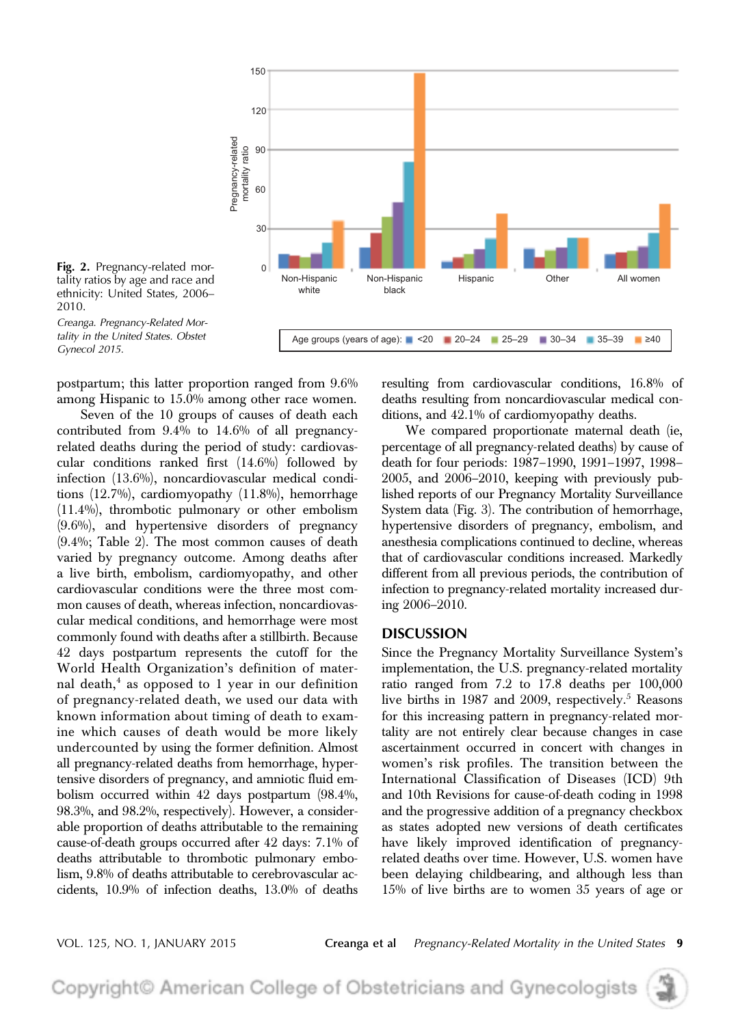

Fig. 2. Pregnancy-related mortality ratios by age and race and ethnicity: United States, 2006– 2010.

Creanga. Pregnancy-Related Mortality in the United States. Obstet Gynecol 2015.

postpartum; this latter proportion ranged from 9.6% among Hispanic to 15.0% among other race women.

Seven of the 10 groups of causes of death each contributed from 9.4% to 14.6% of all pregnancyrelated deaths during the period of study: cardiovascular conditions ranked first (14.6%) followed by infection (13.6%), noncardiovascular medical conditions (12.7%), cardiomyopathy (11.8%), hemorrhage (11.4%), thrombotic pulmonary or other embolism (9.6%), and hypertensive disorders of pregnancy (9.4%; Table 2). The most common causes of death varied by pregnancy outcome. Among deaths after a live birth, embolism, cardiomyopathy, and other cardiovascular conditions were the three most common causes of death, whereas infection, noncardiovascular medical conditions, and hemorrhage were most commonly found with deaths after a stillbirth. Because 42 days postpartum represents the cutoff for the World Health Organization's definition of maternal death, $^4$  as opposed to 1 year in our definition of pregnancy-related death, we used our data with known information about timing of death to examine which causes of death would be more likely undercounted by using the former definition. Almost all pregnancy-related deaths from hemorrhage, hypertensive disorders of pregnancy, and amniotic fluid embolism occurred within 42 days postpartum (98.4%, 98.3%, and 98.2%, respectively). However, a considerable proportion of deaths attributable to the remaining cause-of-death groups occurred after 42 days: 7.1% of deaths attributable to thrombotic pulmonary embolism, 9.8% of deaths attributable to cerebrovascular accidents, 10.9% of infection deaths, 13.0% of deaths resulting from cardiovascular conditions, 16.8% of deaths resulting from noncardiovascular medical conditions, and 42.1% of cardiomyopathy deaths.

We compared proportionate maternal death (ie, percentage of all pregnancy-related deaths) by cause of death for four periods: 1987–1990, 1991–1997, 1998– 2005, and 2006–2010, keeping with previously published reports of our Pregnancy Mortality Surveillance System data (Fig. 3). The contribution of hemorrhage, hypertensive disorders of pregnancy, embolism, and anesthesia complications continued to decline, whereas that of cardiovascular conditions increased. Markedly different from all previous periods, the contribution of infection to pregnancy-related mortality increased during 2006–2010.

# DISCUSSION

Since the Pregnancy Mortality Surveillance System's implementation, the U.S. pregnancy-related mortality ratio ranged from 7.2 to 17.8 deaths per 100,000 live births in 1987 and 2009, respectively.<sup>5</sup> Reasons for this increasing pattern in pregnancy-related mortality are not entirely clear because changes in case ascertainment occurred in concert with changes in women's risk profiles. The transition between the International Classification of Diseases (ICD) 9th and 10th Revisions for cause-of-death coding in 1998 and the progressive addition of a pregnancy checkbox as states adopted new versions of death certificates have likely improved identification of pregnancyrelated deaths over time. However, U.S. women have been delaying childbearing, and although less than 15% of live births are to women 35 years of age or

VOL. 125, NO. 1, JANUARY 2015 **Creanga et al** Pregnancy-Related Mortality in the United States 9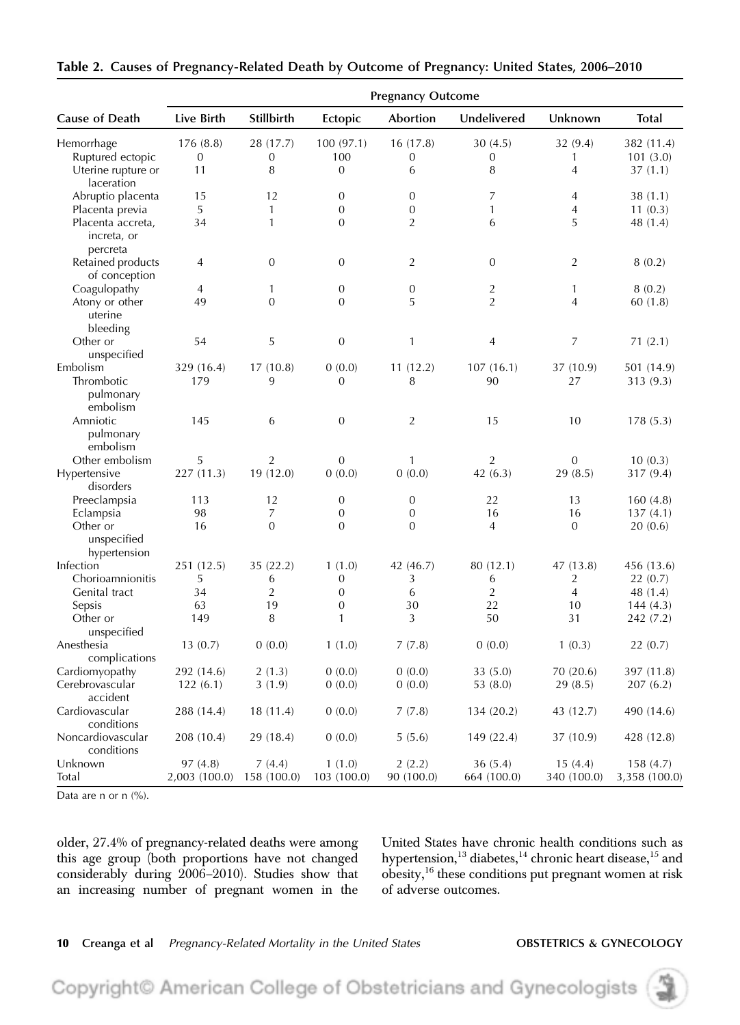|                                              | <b>Pregnancy Outcome</b> |                       |                       |                      |                        |                        |                           |  |  |
|----------------------------------------------|--------------------------|-----------------------|-----------------------|----------------------|------------------------|------------------------|---------------------------|--|--|
| Cause of Death                               | Live Birth               | Stillbirth            | Ectopic               | Abortion             | Undelivered            | Unknown                | <b>Total</b>              |  |  |
| Hemorrhage                                   | 176 (8.8)                | 28 (17.7)             | 100(97.1)             | 16(17.8)             | 30(4.5)                | 32 (9.4)               | 382 (11.4)                |  |  |
| Ruptured ectopic                             | $\boldsymbol{0}$         | $\boldsymbol{0}$      | 100                   | 0                    | $\boldsymbol{0}$       | 1                      | 101(3.0)                  |  |  |
| Uterine rupture or<br>laceration             | 11                       | 8                     | $\mathbf{0}$          | 6                    | 8                      | 4                      | 37(1.1)                   |  |  |
| Abruptio placenta                            | 15                       | 12                    | $\mathbf{0}$          | $\mathbf{0}$         | 7                      | 4                      | 38 (1.1)                  |  |  |
| Placenta previa                              | 5                        | 1                     | $\boldsymbol{0}$      | $\boldsymbol{0}$     | 1                      | $\overline{4}$         | 11(0.3)                   |  |  |
| Placenta accreta,<br>increta, or<br>percreta | 34                       | $\mathbf{1}$          | $\mathbf{0}$          | 2                    | 6                      | 5                      | 48 (1.4)                  |  |  |
| Retained products<br>of conception           | 4                        | $\boldsymbol{0}$      | $\mathbf{0}$          | $\overline{2}$       | $\mathbf{0}$           | $\overline{2}$         | 8(0.2)                    |  |  |
| Coagulopathy                                 | 4                        | 1                     | $\mathbf{0}$          | 0                    | $\overline{2}$         | 1                      | 8(0.2)                    |  |  |
| Atony or other<br>uterine<br>bleeding        | 49                       | $\overline{0}$        | $\mathbf{0}$          | 5                    | $\overline{2}$         | 4                      | 60(1.8)                   |  |  |
| Other or<br>unspecified                      | 54                       | 5                     | $\boldsymbol{0}$      | $\mathbf{1}$         | 4                      | 7                      | 71(2.1)                   |  |  |
| Embolism<br>Thrombotic                       | 329 (16.4)<br>179        | 17(10.8)<br>9         | 0(0.0)<br>0           | 11(12.2)<br>8        | 107(16.1)<br>90        | 37 (10.9)<br>27        | 501 (14.9)<br>313 (9.3)   |  |  |
| pulmonary<br>embolism                        |                          |                       |                       |                      |                        |                        |                           |  |  |
| Amniotic<br>pulmonary<br>embolism            | 145                      | 6                     | $\boldsymbol{0}$      | $\overline{2}$       | 15                     | 10                     | 178(5.3)                  |  |  |
| Other embolism                               | 5                        | $\overline{2}$        | $\mathbf{0}$          | 1                    | 2                      | $\mathbf{0}$           | 10(0.3)                   |  |  |
| Hypertensive<br>disorders                    | 227(11.3)                | 19 (12.0)             | 0(0.0)                | 0(0.0)               | 42 $(6.3)$             | 29(8.5)                | 317 (9.4)                 |  |  |
| Preeclampsia                                 | 113                      | 12                    | $\mathbf{0}$          | 0                    | 22                     | 13                     | 160(4.8)                  |  |  |
| Eclampsia                                    | 98                       | 7                     | $\mathbf{0}$          | $\boldsymbol{0}$     | 16                     | 16                     | 137(4.1)                  |  |  |
| Other or<br>unspecified                      | 16                       | $\mathbf{0}$          | $\mathbf{0}$          | $\overline{0}$       | $\overline{4}$         | $\overline{0}$         | 20(0.6)                   |  |  |
| hypertension                                 |                          |                       |                       |                      |                        |                        |                           |  |  |
| Infection                                    | 251 (12.5)               | 35(22.2)              | 1(1.0)                | 42 (46.7)            | 80 (12.1)              | 47 (13.8)              | 456 (13.6)                |  |  |
| Chorioamnionitis                             | 5                        | 6                     | 0                     | 3                    | 6                      | 2                      | 22(0.7)                   |  |  |
| Genital tract                                | 34                       | 2                     | $\overline{0}$        | 6                    | $\overline{2}$         | $\overline{4}$         | 48 (1.4)                  |  |  |
| Sepsis                                       | 63                       | 19                    | $\boldsymbol{0}$      | 30                   | 22                     | 10                     | 144(4.3)                  |  |  |
| Other or                                     | 149                      | 8                     | $\mathbf{1}$          | 3                    | 50                     | 31                     | 242 (7.2)                 |  |  |
| unspecified                                  |                          |                       |                       |                      |                        |                        |                           |  |  |
| Anesthesia<br>complications                  | 13(0.7)                  | 0(0.0)                | 1(1.0)                | 7(7.8)               | 0(0.0)                 | 1(0.3)                 | 22(0.7)                   |  |  |
| Cardiomyopathy                               | 292 (14.6)               | 2(1.3)                | 0(0.0)                | 0(0.0)               | 33(5.0)                | 70 (20.6)              | 397 (11.8)                |  |  |
| Cerebrovascular<br>accident                  | 122(6.1)                 | 3(1.9)                | 0(0.0)                | 0(0.0)               | 53(8.0)                | 29(8.5)                | 207(6.2)                  |  |  |
| Cardiovascular<br>conditions                 | 288 (14.4)               | 18 (11.4)             | 0(0.0)                | 7(7.8)               | 134 (20.2)             | 43 (12.7)              | 490 (14.6)                |  |  |
| Noncardiovascular<br>conditions              | 208 (10.4)               | 29 (18.4)             | 0(0.0)                | 5(5.6)               | 149 (22.4)             | 37 (10.9)              | 428 (12.8)                |  |  |
| Unknown<br>Total                             | 97(4.8)<br>2,003 (100.0) | 7(4.4)<br>158 (100.0) | 1(1.0)<br>103 (100.0) | 2(2.2)<br>90 (100.0) | 36(5.4)<br>664 (100.0) | 15(4.4)<br>340 (100.0) | 158(4.7)<br>3,358 (100.0) |  |  |

Table 2. Causes of Pregnancy-Related Death by Outcome of Pregnancy: United States, 2006–2010

Data are n or  $n$   $(\%)$ .

older, 27.4% of pregnancy-related deaths were among this age group (both proportions have not changed considerably during 2006–2010). Studies show that an increasing number of pregnant women in the

United States have chronic health conditions such as hypertension, $^{13}$  diabetes, $^{14}$  chronic heart disease, $^{15}$  and obesity,<sup>16</sup> these conditions put pregnant women at risk of adverse outcomes.

# 10 Creanga et al Pregnancy-Related Mortality in the United States **OBSTETRICS & GYNECOLOGY**

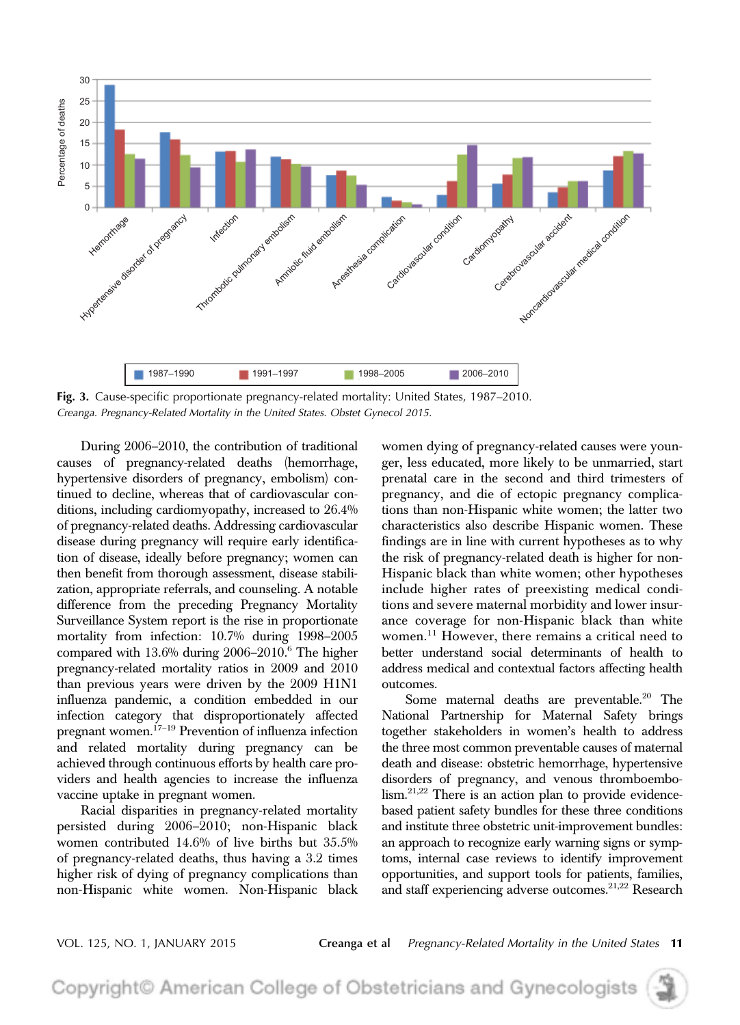

Fig. 3. Cause-specific proportionate pregnancy-related mortality: United States, 1987–2010. Creanga. Pregnancy-Related Mortality in the United States. Obstet Gynecol 2015.

During 2006–2010, the contribution of traditional causes of pregnancy-related deaths (hemorrhage, hypertensive disorders of pregnancy, embolism) continued to decline, whereas that of cardiovascular conditions, including cardiomyopathy, increased to 26.4% of pregnancy-related deaths. Addressing cardiovascular disease during pregnancy will require early identification of disease, ideally before pregnancy; women can then benefit from thorough assessment, disease stabilization, appropriate referrals, and counseling. A notable difference from the preceding Pregnancy Mortality Surveillance System report is the rise in proportionate mortality from infection: 10.7% during 1998–2005 compared with 13.6% during 2006-2010.<sup>6</sup> The higher pregnancy-related mortality ratios in 2009 and 2010 than previous years were driven by the 2009 H1N1 influenza pandemic, a condition embedded in our infection category that disproportionately affected pregnant women.<sup>17</sup>–<sup>19</sup> Prevention of influenza infection and related mortality during pregnancy can be achieved through continuous efforts by health care providers and health agencies to increase the influenza vaccine uptake in pregnant women.

Racial disparities in pregnancy-related mortality persisted during 2006–2010; non-Hispanic black women contributed 14.6% of live births but 35.5% of pregnancy-related deaths, thus having a 3.2 times higher risk of dying of pregnancy complications than non-Hispanic white women. Non-Hispanic black women dying of pregnancy-related causes were younger, less educated, more likely to be unmarried, start prenatal care in the second and third trimesters of pregnancy, and die of ectopic pregnancy complications than non-Hispanic white women; the latter two characteristics also describe Hispanic women. These findings are in line with current hypotheses as to why the risk of pregnancy-related death is higher for non-Hispanic black than white women; other hypotheses include higher rates of preexisting medical conditions and severe maternal morbidity and lower insurance coverage for non-Hispanic black than white women.<sup>11</sup> However, there remains a critical need to better understand social determinants of health to address medical and contextual factors affecting health outcomes.

Some maternal deaths are preventable.<sup>20</sup> The National Partnership for Maternal Safety brings together stakeholders in women's health to address the three most common preventable causes of maternal death and disease: obstetric hemorrhage, hypertensive disorders of pregnancy, and venous thromboembolism.<sup>21,22</sup> There is an action plan to provide evidencebased patient safety bundles for these three conditions and institute three obstetric unit-improvement bundles: an approach to recognize early warning signs or symptoms, internal case reviews to identify improvement opportunities, and support tools for patients, families, and staff experiencing adverse outcomes.<sup>21,22</sup> Research

VOL. 125, NO. 1, JANUARY 2015 Creanga et al Pregnancy-Related Mortality in the United States 11